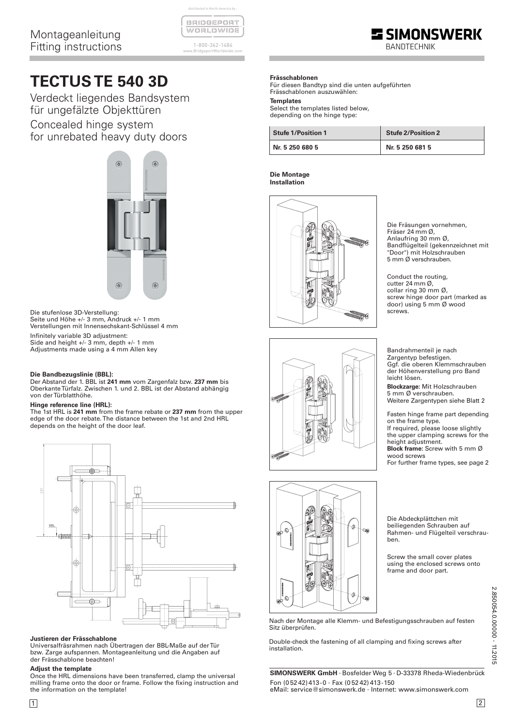| BRIDGEPORT               |  |  |  |  |
|--------------------------|--|--|--|--|
| <u>NV ORLIZIN VITIDI</u> |  |  |  |  |

distributed in North America by :

1-800-362-1484 www.BridgeportWorldwide.com

# **TECTUS TE 540 3D**

Verdeckt liegendes Bandsystem für ungefälzte Objekttüren Concealed hinge system for unrebated heavy duty doors



Die stufenlose 3D-Verstellung: Seite und Höhe +/- 3 mm, Andruck +/- 1 mm Verstellungen mit Innensechskant-Schlüssel 4 mm

Infinitely variable 3D adjustment: Side and height +/- 3 mm, depth +/- 1 mm Adjustments made using a 4 mm Allen key

### **Die Bandbezugslinie (BBL):**

Der Abstand der 1. BBL ist **241 mm** vom Zargenfalz bzw. **237 mm** bis Oberkante Türfalz. Zwischen 1. und 2. BBL ist der Abstand abhängig von der Türblatthöhe.

#### **Hinge reference line (HRL):**

The 1st HRL is **241 mm** from the frame rebate or **237 mm** from the upper edge of the door rebate. The distance between the 1st and 2nd HRL depends on the height of the door leaf.



## **Justieren der Frässchablone**

Universalfräsrahmen nach Übertragen der BBL-Maße auf der Tür bzw. Zarge aufspannen. Montageanleitung und die Angaben auf der Frässchablone beachten!

## **Adjust the template**

Once the HRL dimensions have been transferred, clamp the universal milling frame onto the door or frame. Follow the fixing instruction and the information on the template!

# **Frässchablonen**

Für diesen Bandtyp sind die unten aufgeführten Frässchablonen auszuwählen:

# **Templates**

Select the templates listed below, depending on the hinge type:

| <b>Stufe 1/Position 1</b> | <b>Stufe 2/Position 2</b> |  |  |
|---------------------------|---------------------------|--|--|
| Nr. 5 250 680 5           | Nr. 5 250 681 5           |  |  |

#### **Die Montage Installation**



Die Fräsungen vornehmen, Fräser 24 mm Ø, Anlaufring 30 mm Ø, Bandflügelteil (gekennzeichnet mit "Door") mit Holzschrauben 5 mm Ø verschrauben.

**SIMONSWERK** 

Conduct the routing, cutter 24 mm Ø, collar ring 30 mm Ø, screw hinge door part (marked as door) using 5 mm Ø wood screws.



Ggf. die oberen Klemmschrauben der Höhenverstellung pro Band leicht lösen. **Blockzarge:** Mit Holzschrauben 5 mm Ø verschrauben. Weitere Zargentypen siehe Blatt 2

Bandrahmenteil je nach Zargentyp befestigen.

Fasten hinge frame part depending on the frame type. If required, please loose slightly the upper clamping screws for the height adjustment. **Block frame:** Screw with 5 mm Ø wood screws For further frame types, see page 2

 $\hat{\theta}$ S. Î. œ ¥

Die Abdeckplättchen mit beiliegenden Schrauben auf Rahmen- und Flügelteil verschrauben.

Screw the small cover plates using the enclosed screws onto frame and door part.

| à. |
|----|
|    |
| ٦  |
| ፡  |
| ٠  |
| ؟  |
|    |
| ı  |
| ۰  |
|    |
| c  |
|    |

Nach der Montage alle Klemm- und Befestigungsschrauben auf festen Sitz überprüfen.

Double-check the fastening of all clamping and fixing screws after installation.

**SIMONSWERK GmbH** · Bosfelder Weg 5 · D-33378 Rheda-Wiedenbrück Fon (0 52 42) 413-0 · Fax (0 52 42) 413-150 eMail: service@simonswerk.de · Internet: www.simonswerk.com